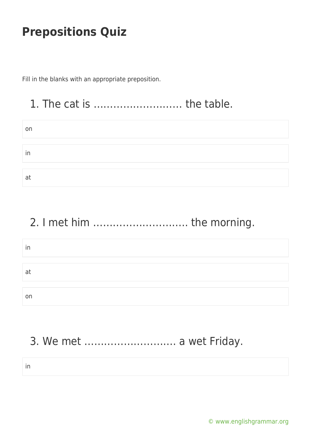Fill in the blanks with an appropriate preposition.

## 1. The cat is ……………………… the table.

| on                   |  |  |
|----------------------|--|--|
|                      |  |  |
| $\blacksquare$<br>in |  |  |
|                      |  |  |
| at                   |  |  |

# 2. I met him ……………………….. the morning.

| in |  |  |  |
|----|--|--|--|
|    |  |  |  |
|    |  |  |  |
| a1 |  |  |  |
|    |  |  |  |
|    |  |  |  |
| on |  |  |  |

# 3. We met ………………………. a wet Friday.

in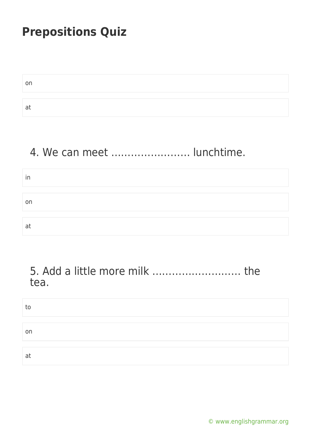| a. |  |
|----|--|

#### 4. We can meet …………………… lunchtime.

| in |  |  |  |
|----|--|--|--|
|    |  |  |  |
| on |  |  |  |
|    |  |  |  |
| at |  |  |  |

#### 5. Add a little more milk ……………………… the tea.

| to |  |  |
|----|--|--|
|    |  |  |
| on |  |  |
|    |  |  |
| at |  |  |

[© www.englishgrammar.org](https://www.englishgrammar.org/)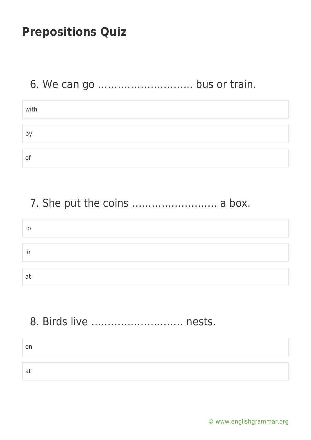# 6. We can go ……………………….. bus or train.

| with |  |
|------|--|
|      |  |
| b'   |  |
|      |  |
| O1   |  |

## 7. She put the coins ........................... a box.

| tc |  |
|----|--|
|    |  |
| in |  |
|    |  |
| a  |  |

## 8. Birds live ………………………. nests.

on at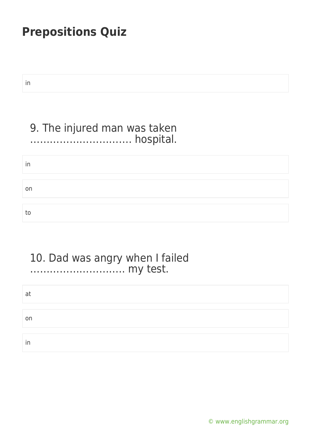in

#### 9. The injured man was taken …………………………. hospital.

in on to

#### 10. Dad was angry when I failed ……………………….. my test.

| at |  |  |  |
|----|--|--|--|
|    |  |  |  |
| on |  |  |  |
|    |  |  |  |
| in |  |  |  |

[© www.englishgrammar.org](https://www.englishgrammar.org/)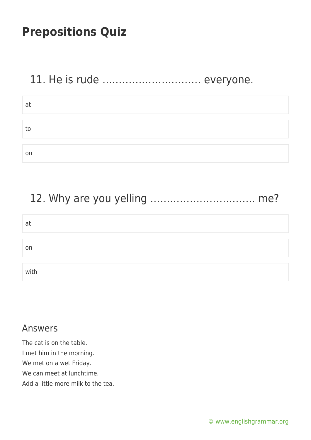## 11. He is rude ………………………… everyone.

| at |  |  |  |
|----|--|--|--|
|    |  |  |  |
| to |  |  |  |
|    |  |  |  |
| on |  |  |  |

# 12. Why are you yelling ………………………….. me?

| at   |  |  |
|------|--|--|
|      |  |  |
| on   |  |  |
|      |  |  |
| with |  |  |

#### Answers

The cat is on the table. I met him in the morning. We met on a wet Friday. We can meet at lunchtime. Add a little more milk to the tea.